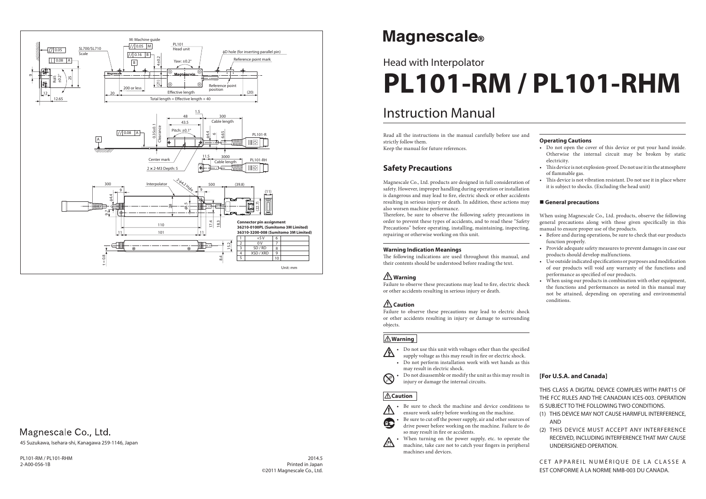## Instruction Manual

# Head with Interpolator **PL101-RM / PL101-RHM**

#### **Operating Cautions**

- Do not open the cover of this device or put your hand inside. Otherwise the internal circuit may be broken by static electricity.
- This device is not explosion-proof. Do not use it in the atmosphere of flammable gas.
- This device is not vibration resistant. Do not use it in place where it is subject to shocks. (Excluding the head unit)

#### **General precautions**

When using Magnescale Co., Ltd. products, observe the following general precautions along with those given specifically in this manual to ensure proper use of the products.

- Before and during operations, be sure to check that our products function properly.
- Provide adequate safety measures to prevent damages in case our products should develop malfunctions.
- Use outside indicated specifications or purposes and modification of our products will void any warranty of the functions and performance as specified of our products.
- When using our products in combination with other equipment, the functions and performances as noted in this manual may not be attained, depending on operating and environmental conditions.

Therefore, be sure to observe the following safety precautions in order to prevent these types of accidents, and to read these "Safety Precautions" before operating, installing, maintaining, inspecting, repairing or otherwise working on this unit.

The following indications are used throughout this manual, and their contents should be understood before reading the text.

Failure to observe these precautions may lead to fire, electric shock or other accidents resulting in serious injury or death.

Read all the instructions in the manual carefully before use and strictly follow them.

- Do not perform installation work with wet hands as this may result in electric shock. • Do not disassemble or modify the unit as this may result in
- $\otimes$

Keep the manual for future references.

### **Safety Precautions**

Be sure to check the machine and device conditions to ensure work safety before working on the machine.

Be sure to cut off the power supply, air and other sources of drive power before working on the machine. Failure to do so may result in fire or accidents.

Magnescale Co., Ltd. products are designed in full consideration of safety. However, improper handling during operation or installation is dangerous and may lead to fire, electric shock or other accidents resulting in serious injury or death. In addition, these actions may also worsen machine performance.

> When turning on the power supply, etc. to operate the machine, take care not to catch your fingers in peripheral machines and devices.

 $20145$ Printed in Japan ©2011 Magnescale Co., Ltd.

# **Magnescale**®

CET APPAREIL NUMÉRIQUE DE LA CLASSE A EST CONFORME À LA NORME NMB-003 DU CANADA.

#### **Warning Indication Meanings**

## **Warning**

## **Caution**

Failure to observe these precautions may lead to electric shock or other accidents resulting in injury or damage to surrounding objects.

#### **Warning**

• Do not use this unit with voltages other than the specified A supply voltage as this may result in fire or electric shock.

injury or damage the internal circuits.

#### **Caution**



Œ

PL101-RM / PL101-RHM 2-A00-056-1B

#### **[For U.S.A. and Canada]**

THIS CLASS A DIGITAL DEVICE COMPLIES WITH PART15 OF THE FCC RULES AND THE CANADIAN ICES-003. OPERATION IS SUBJECT TO THE FOLLOWING TWO CONDITIONS.

- (1) THIS DEVICE MAY NOT CAUSE HARMFUL INTERFERENCE, AND
- (2) THIS DEVICE MUST ACCEPT ANY INTERFERENCE RECEIVED, INCLUDING INTERFERENCE THAT MAY CAUSE UNDERSIGNED OPERATION.

45 Suzukawa, Isehara-shi, Kanagawa 259-1146, Japan



## Magnescale Co., Ltd.